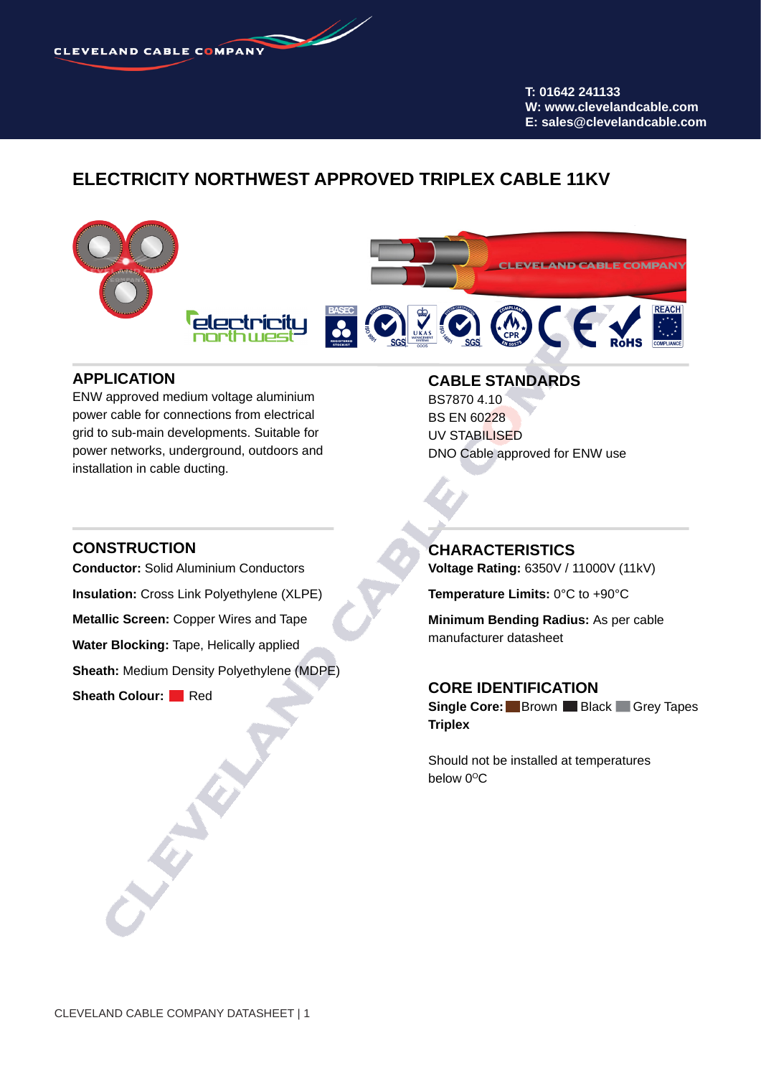**CLEVELAND CABLE COMPANY** 

**T: 01642 241133 W: www.clevelandcable.com E: sales@clevelandcable.com**

### **ELECTRICITY NORTHWEST APPROVED TRIPLEX CABLE 11KV**



#### **APPLICATION**

ENW approved medium voltage aluminium power cable for connections from electrical grid to sub-main developments. Suitable for power networks, underground, outdoors and installation in cable ducting.

### **CABLE STANDARDS**

BS7870 4.10 BS EN 60228 UV STABILISED DNO Cable approved for ENW use

#### **CONSTRUCTION**

**Conductor:** Solid Aluminium Conductors **Insulation:** Cross Link Polyethylene (XLPE) **Metallic Screen:** Copper Wires and Tape **Water Blocking:** Tape, Helically applied **Sheath:** Medium Density Polyethylene (MDPE) **Sheath Colour:** Red

#### **CHARACTERISTICS**

**Voltage Rating:** 6350V / 11000V (11kV)

**Temperature Limits:** 0°C to +90°C

**Minimum Bending Radius:** As per cable manufacturer datasheet

#### **CORE IDENTIFICATION**

**Single Core:** Brown Black Grey Tapes **Triplex**

Should not be installed at temperatures below  $0^{\circ}$ C